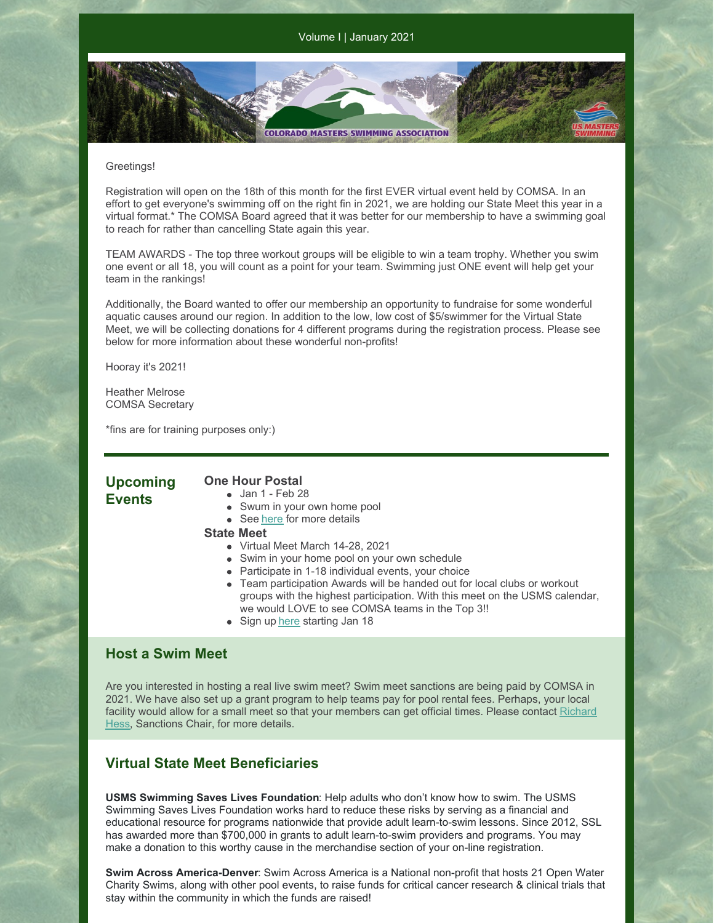Volume I | January 2021

#### Greetings!

Registration will open on the 18th of this month for the first EVER virtual event held by COMSA. In an effort to get everyone's swimming off on the right fin in 2021, we are holding our State Meet this year in a virtual format.\* The COMSA Board agreed that it was better for our membership to have a swimming goal to reach for rather than cancelling State again this year.

**COLORADO MASTERS SWIMMING ASSOCIATION** 

TEAM AWARDS - The top three workout groups will be eligible to win a team trophy. Whether you swim one event or all 18, you will count as a point for your team. Swimming just ONE event will help get your team in the rankings!

Additionally, the Board wanted to offer our membership an opportunity to fundraise for some wonderful aquatic causes around our region. In addition to the low, low cost of \$5/swimmer for the Virtual State Meet, we will be collecting donations for 4 different programs during the registration process. Please see below for more information about these wonderful non-profits!

Hooray it's 2021!

Heather Melrose COMSA Secretary

\*fins are for training purposes only:)

### **Upcoming Events**

#### **One Hour Postal** Jan 1 - Feb 28

- 
- Swum in your own home pool
- See [here](https://www.clubassistant.com/club/meet_information.cfm?c=1308&smid=13499&_ga=2.237118272.1563879997.1609381583-1628393615.1605034079) for more details

#### **State Meet**

- Virtual Meet March 14-28, 2021
- Swim in your home pool on your own schedule
- Participate in 1-18 individual events, your choice
- Team participation Awards will be handed out for local clubs or workout groups with the highest participation. With this meet on the USMS calendar, we would LOVE to see COMSA teams in the Top 3!!
- Sign up [here](https://www.clubassistant.com/club/meet_information.cfm?c=1279&smid=13494) starting Jan 18

# **Host a Swim Meet**

Are you interested in hosting a real live swim meet? Swim meet sanctions are being paid by COMSA in 2021. We have also set up a grant program to help teams pay for pool rental fees. Perhaps, your local facility would allow for a small meet so that your members can get official times. Please contact Richard Hess, [Sanctions](mailto:rhess54321@aol.com) Chair, for more details.

## **Virtual State Meet Beneficiaries**

**USMS Swimming Saves Lives Foundation**: Help adults who don't know how to swim. The USMS Swimming Saves Lives Foundation works hard to reduce these risks by serving as a financial and educational resource for programs nationwide that provide adult learn-to-swim lessons. Since 2012, SSL has awarded more than \$700,000 in grants to adult learn-to-swim providers and programs. You may make a donation to this worthy cause in the merchandise section of your on-line registration.

**Swim Across America-Denver**: Swim Across America is a National non-profit that hosts 21 Open Water Charity Swims, along with other pool events, to raise funds for critical cancer research & clinical trials that stay within the community in which the funds are raised!